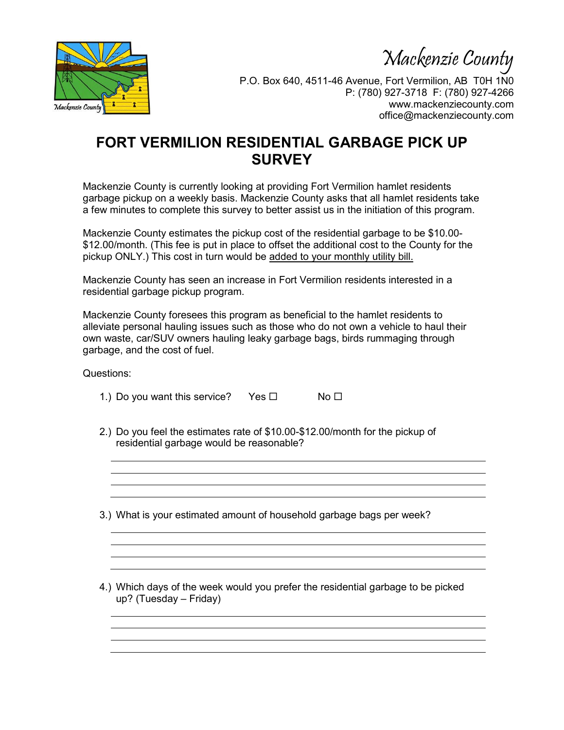Mackenzie County



P.O. Box 640, 4511-46 Avenue, Fort Vermilion, AB T0H 1N0 P: (780) 927-3718 F: (780) 927-4266 www.mackenziecounty.com office@mackenziecounty.com

## **FORT VERMILION RESIDENTIAL GARBAGE PICK UP SURVEY**

Mackenzie County is currently looking at providing Fort Vermilion hamlet residents garbage pickup on a weekly basis. Mackenzie County asks that all hamlet residents take a few minutes to complete this survey to better assist us in the initiation of this program.

Mackenzie County estimates the pickup cost of the residential garbage to be \$10.00- \$12.00/month. (This fee is put in place to offset the additional cost to the County for the pickup ONLY.) This cost in turn would be added to your monthly utility bill.

Mackenzie County has seen an increase in Fort Vermilion residents interested in a residential garbage pickup program.

Mackenzie County foresees this program as beneficial to the hamlet residents to alleviate personal hauling issues such as those who do not own a vehicle to haul their own waste, car/SUV owners hauling leaky garbage bags, birds rummaging through garbage, and the cost of fuel.

Questions:

| 1.) Do you want this service? |  |  | Yes □ | No <sub>1</sub> |
|-------------------------------|--|--|-------|-----------------|
|-------------------------------|--|--|-------|-----------------|

2.) Do you feel the estimates rate of \$10.00-\$12.00/month for the pickup of residential garbage would be reasonable?

3.) What is your estimated amount of household garbage bags per week?

4.) Which days of the week would you prefer the residential garbage to be picked up? (Tuesday – Friday)